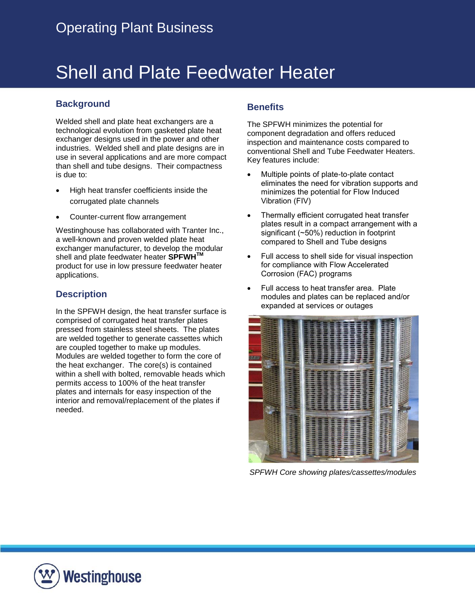# Shell and Plate Feedwater Heater

## **Background**

Welded shell and plate heat exchangers are a technological evolution from gasketed plate heat exchanger designs used in the power and other industries. Welded shell and plate designs are in use in several applications and are more compact than shell and tube designs. Their compactness is due to:

- High heat transfer coefficients inside the corrugated plate channels
- Counter-current flow arrangement

Westinghouse has collaborated with Tranter Inc., a well-known and proven welded plate heat exchanger manufacturer, to develop the modular shell and plate feedwater heater **SPFWHTM** product for use in low pressure feedwater heater applications.

### **Description**

In the SPFWH design, the heat transfer surface is comprised of corrugated heat transfer plates pressed from stainless steel sheets. The plates are welded together to generate cassettes which are coupled together to make up modules. Modules are welded together to form the core of the heat exchanger. The core(s) is contained within a shell with bolted, removable heads which permits access to 100% of the heat transfer plates and internals for easy inspection of the interior and removal/replacement of the plates if needed.

### **Benefits**

The SPFWH minimizes the potential for component degradation and offers reduced inspection and maintenance costs compared to conventional Shell and Tube Feedwater Heaters. Key features include:

- Multiple points of plate-to-plate contact eliminates the need for vibration supports and minimizes the potential for Flow Induced Vibration (FIV)
- Thermally efficient corrugated heat transfer plates result in a compact arrangement with a significant (~50%) reduction in footprint compared to Shell and Tube designs
- Full access to shell side for visual inspection for compliance with Flow Accelerated Corrosion (FAC) programs
- Full access to heat transfer area. Plate modules and plates can be replaced and/or expanded at services or outages



*SPFWH Core showing plates/cassettes/modules*